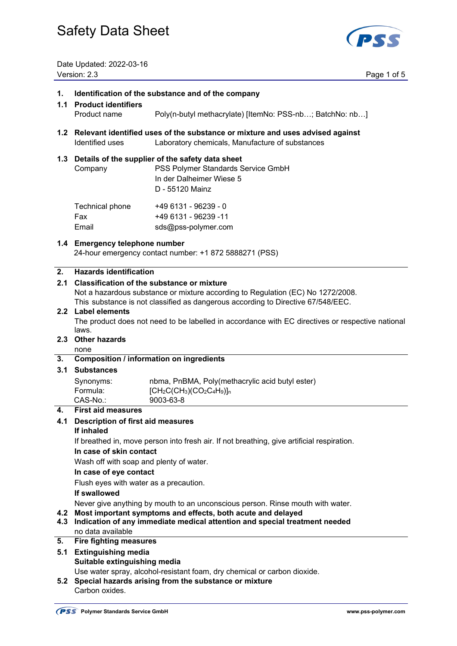

Date Updated: 2022-03-16 Version: 2.3 Page 1 of 5

#### **1. Identification of the substance and of the company**

# **1.1 Product identifiers**  Product name Poly(n-butyl methacrylate) [ItemNo: PSS-nb…; BatchNo: nb…]

**1.2 Relevant identified uses of the substance or mixture and uses advised against**  Identified uses Laboratory chemicals, Manufacture of substances

#### **1.3 Details of the supplier of the safety data sheet**

 Company PSS Polymer Standards Service GmbH In der Dalheimer Wiese 5 D - 55120 Mainz Technical phone +49 6131 - 96239 - 0

| <b>I VUITHUAI PHUITU</b> | $-0.001 - 0.0200 - 0.000$ |
|--------------------------|---------------------------|
| Fax                      | +49 6131 - 96239 -11      |
| Email                    | sds@pss-polymer.com       |

#### **1.4 Emergency telephone number**

24-hour emergency contact number: +1 872 5888271 (PSS)

#### **2. Hazards identification**

#### **2.1 Classification of the substance or mixture**

Not a hazardous substance or mixture according to Regulation (EC) No 1272/2008.

This substance is not classified as dangerous according to Directive 67/548/EEC.

#### **2.2 Label elements**

 The product does not need to be labelled in accordance with EC directives or respective national laws.

### **2.3 Other hazards**

# none

#### **3. Composition / information on ingredients**

#### **3.1 Substances**

| Synonyms: | nbma, PnBMA, Poly(methacrylic acid butyl ester) |
|-----------|-------------------------------------------------|
| Formula:  | $[CH_2C(CH_3)(CO_2C_4H_9)]_n$                   |
| CAS-No.:  | 9003-63-8                                       |

#### **4. First aid measures**

# **4.1 Description of first aid measures**

#### **If inhaled**

If breathed in, move person into fresh air. If not breathing, give artificial respiration.

#### **In case of skin contact**

Wash off with soap and plenty of water.

#### **In case of eye contact**

Flush eyes with water as a precaution.

#### **If swallowed**

Never give anything by mouth to an unconscious person. Rinse mouth with water.

### **4.2 Most important symptoms and effects, both acute and delayed**

**4.3 Indication of any immediate medical attention and special treatment needed**  no data available

### **5. Fire fighting measures**

### **5.1 Extinguishing media Suitable extinguishing media**

Use water spray, alcohol-resistant foam, dry chemical or carbon dioxide.

# **5.2 Special hazards arising from the substance or mixture**

Carbon oxides.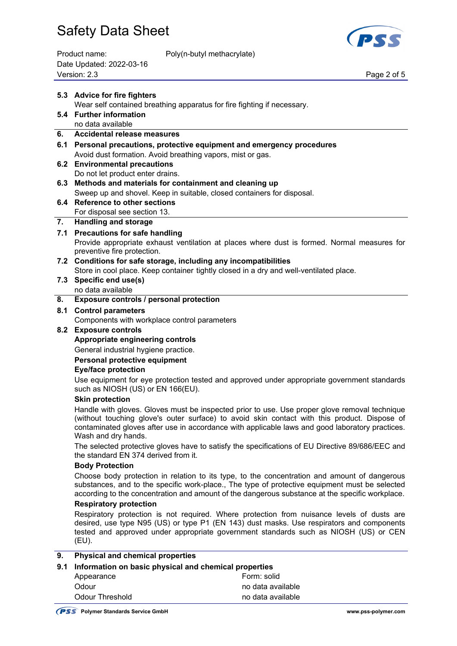

| Product name:            |  |
|--------------------------|--|
| Date Updated: 2022-03-16 |  |
| Version: 2.3             |  |

Poly(n-butyl methacrylate)

Page 2 of 5

|     | 5.3 Advice for fire fighters                                                                                                                                                                                                                                                                                                                                 |                                                                                                                                                                                   |  |
|-----|--------------------------------------------------------------------------------------------------------------------------------------------------------------------------------------------------------------------------------------------------------------------------------------------------------------------------------------------------------------|-----------------------------------------------------------------------------------------------------------------------------------------------------------------------------------|--|
|     | Wear self contained breathing apparatus for fire fighting if necessary.                                                                                                                                                                                                                                                                                      |                                                                                                                                                                                   |  |
|     | 5.4 Further information                                                                                                                                                                                                                                                                                                                                      |                                                                                                                                                                                   |  |
|     | no data available<br><b>Accidental release measures</b>                                                                                                                                                                                                                                                                                                      |                                                                                                                                                                                   |  |
| 6.  |                                                                                                                                                                                                                                                                                                                                                              |                                                                                                                                                                                   |  |
| 6.1 | Personal precautions, protective equipment and emergency procedures<br>Avoid dust formation. Avoid breathing vapors, mist or gas.                                                                                                                                                                                                                            |                                                                                                                                                                                   |  |
|     | 6.2 Environmental precautions                                                                                                                                                                                                                                                                                                                                |                                                                                                                                                                                   |  |
|     | Do not let product enter drains.                                                                                                                                                                                                                                                                                                                             |                                                                                                                                                                                   |  |
|     | 6.3 Methods and materials for containment and cleaning up                                                                                                                                                                                                                                                                                                    |                                                                                                                                                                                   |  |
|     | Sweep up and shovel. Keep in suitable, closed containers for disposal.                                                                                                                                                                                                                                                                                       |                                                                                                                                                                                   |  |
|     | 6.4 Reference to other sections                                                                                                                                                                                                                                                                                                                              |                                                                                                                                                                                   |  |
|     | For disposal see section 13.                                                                                                                                                                                                                                                                                                                                 |                                                                                                                                                                                   |  |
| 7.  | <b>Handling and storage</b>                                                                                                                                                                                                                                                                                                                                  |                                                                                                                                                                                   |  |
| 7.1 | <b>Precautions for safe handling</b>                                                                                                                                                                                                                                                                                                                         |                                                                                                                                                                                   |  |
|     | preventive fire protection.                                                                                                                                                                                                                                                                                                                                  | Provide appropriate exhaust ventilation at places where dust is formed. Normal measures for                                                                                       |  |
|     | 7.2 Conditions for safe storage, including any incompatibilities                                                                                                                                                                                                                                                                                             |                                                                                                                                                                                   |  |
|     | Store in cool place. Keep container tightly closed in a dry and well-ventilated place.                                                                                                                                                                                                                                                                       |                                                                                                                                                                                   |  |
|     | 7.3 Specific end use(s)                                                                                                                                                                                                                                                                                                                                      |                                                                                                                                                                                   |  |
|     | no data available                                                                                                                                                                                                                                                                                                                                            |                                                                                                                                                                                   |  |
| 8.  | Exposure controls / personal protection                                                                                                                                                                                                                                                                                                                      |                                                                                                                                                                                   |  |
| 8.1 | <b>Control parameters</b>                                                                                                                                                                                                                                                                                                                                    |                                                                                                                                                                                   |  |
|     | Components with workplace control parameters                                                                                                                                                                                                                                                                                                                 |                                                                                                                                                                                   |  |
|     | 8.2 Exposure controls                                                                                                                                                                                                                                                                                                                                        |                                                                                                                                                                                   |  |
|     | Appropriate engineering controls                                                                                                                                                                                                                                                                                                                             |                                                                                                                                                                                   |  |
|     | General industrial hygiene practice.<br>Personal protective equipment                                                                                                                                                                                                                                                                                        |                                                                                                                                                                                   |  |
|     | <b>Eye/face protection</b>                                                                                                                                                                                                                                                                                                                                   |                                                                                                                                                                                   |  |
|     |                                                                                                                                                                                                                                                                                                                                                              | Use equipment for eye protection tested and approved under appropriate government standards                                                                                       |  |
|     | such as NIOSH (US) or EN 166(EU).                                                                                                                                                                                                                                                                                                                            |                                                                                                                                                                                   |  |
|     | <b>Skin protection</b>                                                                                                                                                                                                                                                                                                                                       |                                                                                                                                                                                   |  |
|     | Handle with gloves. Gloves must be inspected prior to use. Use proper glove removal technique<br>(without touching glove's outer surface) to avoid skin contact with this product. Dispose of<br>contaminated gloves after use in accordance with applicable laws and good laboratory practices.<br>Wash and dry hands.                                      |                                                                                                                                                                                   |  |
|     | The selected protective gloves have to satisfy the specifications of EU Directive 89/686/EEC and<br>the standard EN 374 derived from it.                                                                                                                                                                                                                     |                                                                                                                                                                                   |  |
|     | <b>Body Protection</b><br>Choose body protection in relation to its type, to the concentration and amount of dangerous<br>substances, and to the specific work-place., The type of protective equipment must be selected<br>according to the concentration and amount of the dangerous substance at the specific workplace.<br><b>Respiratory protection</b> |                                                                                                                                                                                   |  |
|     |                                                                                                                                                                                                                                                                                                                                                              |                                                                                                                                                                                   |  |
|     |                                                                                                                                                                                                                                                                                                                                                              |                                                                                                                                                                                   |  |
|     |                                                                                                                                                                                                                                                                                                                                                              | Respiratory protection is not required. Where protection from nuisance levels of dusts are                                                                                        |  |
|     | (EU).                                                                                                                                                                                                                                                                                                                                                        | desired, use type N95 (US) or type P1 (EN 143) dust masks. Use respirators and components<br>tested and approved under appropriate government standards such as NIOSH (US) or CEN |  |
| 9.  | <b>Physical and chemical properties</b>                                                                                                                                                                                                                                                                                                                      |                                                                                                                                                                                   |  |
| 9.1 | Information on basic physical and chemical properties                                                                                                                                                                                                                                                                                                        |                                                                                                                                                                                   |  |
|     | Appearance                                                                                                                                                                                                                                                                                                                                                   | Form: solid                                                                                                                                                                       |  |
|     | Odour                                                                                                                                                                                                                                                                                                                                                        | no data available                                                                                                                                                                 |  |
|     | <b>Odour Threshold</b>                                                                                                                                                                                                                                                                                                                                       | no data available                                                                                                                                                                 |  |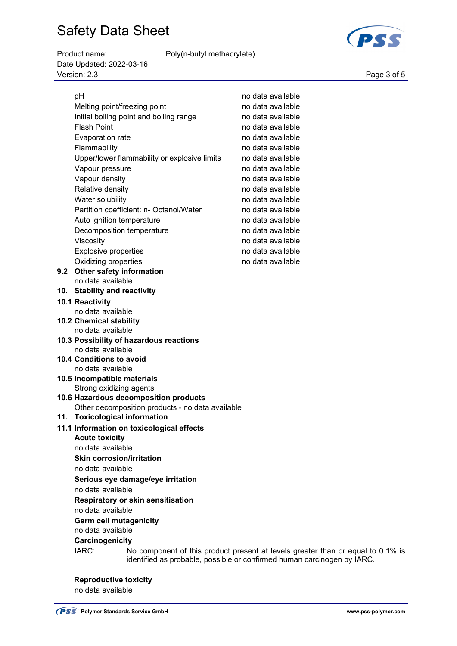Product name: Poly(n-butyl methacrylate)

pH no data available Melting point/freezing point no data available

Date Updated: 2022-03-16 Page 3 of 5<br>Version: 2.3 Page 3 of 5

| Initial boiling point and boiling range                      | no data available |  |
|--------------------------------------------------------------|-------------------|--|
| <b>Flash Point</b>                                           | no data available |  |
| <b>Evaporation rate</b>                                      | no data available |  |
| Flammability                                                 | no data available |  |
| Upper/lower flammability or explosive limits                 | no data available |  |
| Vapour pressure                                              | no data available |  |
| Vapour density                                               | no data available |  |
| Relative density                                             | no data available |  |
| Water solubility                                             | no data available |  |
| Partition coefficient: n- Octanol/Water                      | no data available |  |
| Auto ignition temperature                                    | no data available |  |
| Decomposition temperature                                    | no data available |  |
| Viscosity                                                    | no data available |  |
| Explosive properties                                         | no data available |  |
| Oxidizing properties                                         | no data available |  |
| 9.2 Other safety information                                 |                   |  |
| no data available                                            |                   |  |
| 10. Stability and reactivity                                 |                   |  |
| 10.1 Reactivity                                              |                   |  |
| no data available                                            |                   |  |
| <b>10.2 Chemical stability</b>                               |                   |  |
| no data available<br>10.3 Possibility of hazardous reactions |                   |  |
| no data available                                            |                   |  |
| 10.4 Conditions to avoid                                     |                   |  |
| no data available                                            |                   |  |
| 10.5 Incompatible materials                                  |                   |  |
| Strong oxidizing agents                                      |                   |  |
| 10.6 Hazardous decomposition products                        |                   |  |
| Other decomposition products - no data available             |                   |  |
| 11. Toxicological information                                |                   |  |
| 11.1 Information on toxicological effects                    |                   |  |
| <b>Acute toxicity</b>                                        |                   |  |
|                                                              |                   |  |
| no data available                                            |                   |  |
| <b>Skin corrosion/irritation</b>                             |                   |  |
| no data available                                            |                   |  |
| Serious eye damage/eye irritation                            |                   |  |
| no data available                                            |                   |  |
| <b>Respiratory or skin sensitisation</b>                     |                   |  |
| no data available                                            |                   |  |
| <b>Germ cell mutagenicity</b><br>no data available           |                   |  |

### **Carcinogenicity**

 IARC: No component of this product present at levels greater than or equal to 0.1% is identified as probable, possible or confirmed human carcinogen by IARC.

# **Reproductive toxicity**

no data available

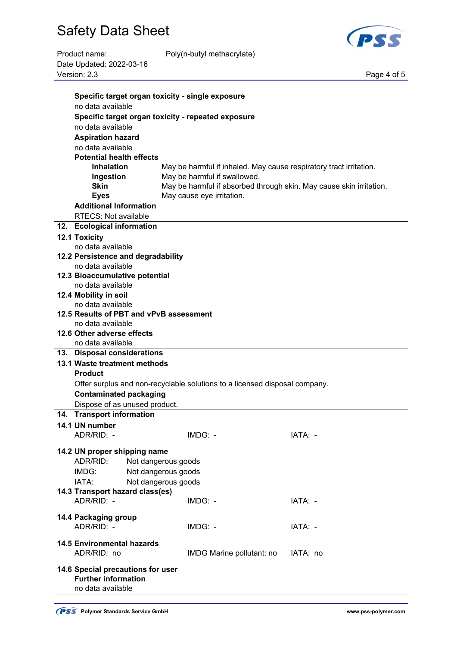

Product name: Poly(n-butyl methacrylate) Date Updated: 2022-03-16 Version: 2.3 Page 4 of 5

| Specific target organ toxicity - single exposure |                                                                            |          |  |
|--------------------------------------------------|----------------------------------------------------------------------------|----------|--|
| no data available                                |                                                                            |          |  |
|                                                  | Specific target organ toxicity - repeated exposure                         |          |  |
| no data available                                |                                                                            |          |  |
| <b>Aspiration hazard</b>                         |                                                                            |          |  |
| no data available                                |                                                                            |          |  |
| <b>Potential health effects</b>                  |                                                                            |          |  |
| <b>Inhalation</b>                                | May be harmful if inhaled. May cause respiratory tract irritation.         |          |  |
| Ingestion                                        | May be harmful if swallowed.                                               |          |  |
| <b>Skin</b>                                      | May be harmful if absorbed through skin. May cause skin irritation.        |          |  |
| <b>Eyes</b>                                      | May cause eye irritation.                                                  |          |  |
| <b>Additional Information</b>                    |                                                                            |          |  |
| <b>RTECS: Not available</b>                      |                                                                            |          |  |
| 12. Ecological information                       |                                                                            |          |  |
|                                                  |                                                                            |          |  |
| <b>12.1 Toxicity</b><br>no data available        |                                                                            |          |  |
| 12.2 Persistence and degradability               |                                                                            |          |  |
| no data available                                |                                                                            |          |  |
| 12.3 Bioaccumulative potential                   |                                                                            |          |  |
| no data available                                |                                                                            |          |  |
| 12.4 Mobility in soil                            |                                                                            |          |  |
| no data available                                |                                                                            |          |  |
| 12.5 Results of PBT and vPvB assessment          |                                                                            |          |  |
| no data available                                |                                                                            |          |  |
| 12.6 Other adverse effects                       |                                                                            |          |  |
| no data available                                |                                                                            |          |  |
| 13. Disposal considerations                      |                                                                            |          |  |
| 13.1 Waste treatment methods                     |                                                                            |          |  |
| <b>Product</b>                                   |                                                                            |          |  |
|                                                  | Offer surplus and non-recyclable solutions to a licensed disposal company. |          |  |
| <b>Contaminated packaging</b>                    |                                                                            |          |  |
| Dispose of as unused product.                    |                                                                            |          |  |
| 14. Transport information                        |                                                                            |          |  |
| 14.1 UN number                                   |                                                                            |          |  |
| ADR/RID: -                                       | IMDG: -                                                                    | IATA:    |  |
|                                                  |                                                                            |          |  |
| 14.2 UN proper shipping name                     |                                                                            |          |  |
| ADR/RID:                                         | Not dangerous goods                                                        |          |  |
| IMDG:                                            | Not dangerous goods                                                        |          |  |
| IATA:                                            | Not dangerous goods                                                        |          |  |
| 14.3 Transport hazard class(es)                  |                                                                            |          |  |
| ADR/RID: -                                       | IMDG: -                                                                    | IATA: -  |  |
|                                                  |                                                                            |          |  |
| 14.4 Packaging group                             |                                                                            |          |  |
| ADR/RID: -                                       | IMDG: -                                                                    | IATA: -  |  |
| <b>14.5 Environmental hazards</b>                |                                                                            |          |  |
| ADR/RID: no                                      | IMDG Marine pollutant: no                                                  | IATA: no |  |
|                                                  |                                                                            |          |  |
| 14.6 Special precautions for user                |                                                                            |          |  |
| <b>Further information</b>                       |                                                                            |          |  |
| no data available                                |                                                                            |          |  |